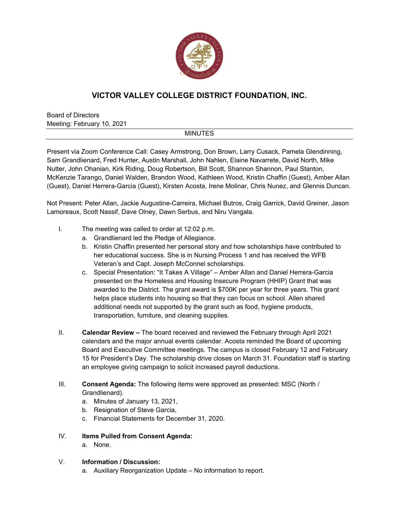

## **VICTOR VALLEY COLLEGE DISTRICT FOUNDATION, INC.**

Board of Directors Meeting: February 10, 2021

## **MINUTES**

Present via Zoom Conference Call: Casey Armstrong, Don Brown, Larry Cusack, Pamela Glendinning, Sam Grandlienard, Fred Hunter, Austin Marshall, John Nahlen, Elaine Navarrete, David North, Mike Nutter, John Ohanian, Kirk Riding, Doug Robertson, Bill Scott, Shannon Shannon, Paul Stanton, McKenzie Tarango, Daniel Walden, Brandon Wood, Kathleen Wood, Kristin Chaffin (Guest), Amber Allan (Guest), Daniel Herrera-Garcia (Guest), Kirsten Acosta, Irene Molinar, Chris Nunez, and Glennis Duncan.

Not Present: Peter Allan, Jackie Augustine-Carreira, Michael Butros, Craig Garrick, David Greiner, Jason Lamoreaux, Scott Nassif, Dave Olney, Dawn Serbus, and Niru Vangala.

- I. The meeting was called to order at 12:02 p.m.
	- a. Grandlienard led the Pledge of Allegiance.
	- b. Kristin Chaffin presented her personal story and how scholarships have contributed to her educational success. She is in Nursing Process 1 and has received the WFB Veteran's and Capt. Joseph McConnel scholarships.
	- c. Special Presentation: "It Takes A Village" Amber Allan and Daniel Herrera-Garcia presented on the Homeless and Housing Insecure Program (HHIP) Grant that was awarded to the District. The grant award is \$700K per year for three years. This grant helps place students into housing so that they can focus on school. Allen shared additional needs not supported by the grant such as food, hygiene products, transportation, furniture, and cleaning supplies.
- II. **Calendar Review** The board received and reviewed the February through April 2021 calendars and the major annual events calendar. Acosta reminded the Board of upcoming Board and Executive Committee meetings. The campus is closed February 12 and February 15 for President's Day. The scholarship drive closes on March 31. Foundation staff is starting an employee giving campaign to solicit increased payroll deductions.
- III. **Consent Agenda:** The following items were approved as presented: MSC (North / Grandlienard).
	- a. Minutes of January 13, 2021,
	- b. Resignation of Steve Garcia,
	- c. Financial Statements for December 31, 2020.
- IV. **Items Pulled from Consent Agenda:** 
	- a. None.
- V. **Information / Discussion:** 
	- a. Auxiliary Reorganization Update No information to report.